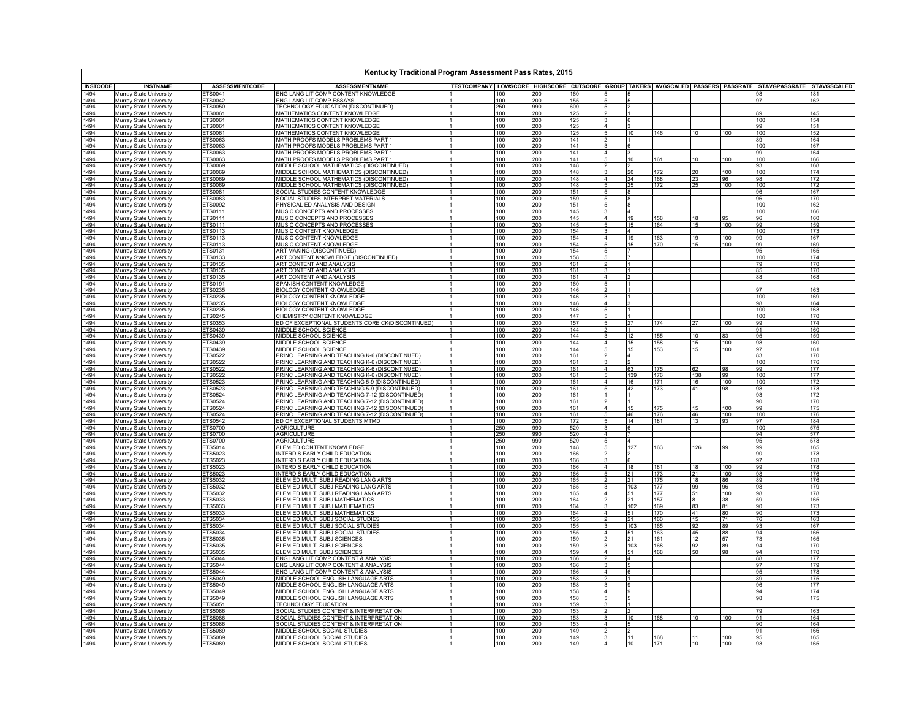| Kentucky Traditional Program Assessment Pass Rates, 2015 |                                                                  |                           |                                                                                                    |                              |            |                   |             |                                  |           |            |                 |            |                                                                                                                               |            |
|----------------------------------------------------------|------------------------------------------------------------------|---------------------------|----------------------------------------------------------------------------------------------------|------------------------------|------------|-------------------|-------------|----------------------------------|-----------|------------|-----------------|------------|-------------------------------------------------------------------------------------------------------------------------------|------------|
| <b>INSTCODE</b>                                          | <b>INSTNAME</b>                                                  | <b>ASSESSMENTCODE</b>     | <b>ASSESSMENTNAME</b>                                                                              |                              |            |                   |             |                                  |           |            |                 |            | TESTCOMPANY   LOWSCORE   HIGHSCORE   CUTSCORE   GROUP   TAKERS   AVGSCALED   PASSERS   PASSRATE   STAVGPASSRATE   STAVGSCALED |            |
| 1494                                                     | Murray State University                                          | FTS0041                   | ENG LANG LIT COMP CONTENT KNOWLEDGE                                                                |                              | 100        | 200               | 160         |                                  |           |            |                 |            | 98                                                                                                                            | 181        |
| 1494                                                     | Murray State University                                          | ETS0042                   | ENG LANG LIT COMP ESSAYS                                                                           |                              | 100        | 200               | 155         |                                  |           |            |                 |            | 97                                                                                                                            | 162        |
| 1494<br>1494                                             | <b>Murray State University</b><br>Murray State University        | ETS0050<br>ETS0061        | TECHNOLOGY EDUCATION (DISCONTINUED)<br>MATHEMATICS CONTENT KNOWLEDGE                               | ۱1                           | 250<br>100 | 990<br>200        | 600<br>125  | 5                                |           |            |                 |            | 89                                                                                                                            | 145        |
| 1494                                                     | Murray State University                                          | ETS0061                   | MATHEMATICS CONTENT KNOWLEDGE                                                                      |                              | 100        | 200               | 125         |                                  |           |            |                 |            | 100                                                                                                                           | 154        |
| 1494                                                     | Murray State University                                          | ETS0061                   | MATHEMATICS CONTENT KNOWLEDGE                                                                      | $\mathsf{I}$                 | 100        | 200               | 125         | 14                               |           |            |                 |            | 99                                                                                                                            | 151        |
| 1494                                                     | Murray State University                                          | <b>ETS0061</b>            | MATHEMATICS CONTENT KNOWLEDGE                                                                      |                              | 100        | 200               | 125         | 5                                | 10        | 146        | 10              | 100        | 100                                                                                                                           | 152        |
| 1494                                                     | Murray State University                                          | ETS0063                   | MATH PROOFS MODELS PROBLEMS PART 1                                                                 |                              | 100        | 200               | 141         |                                  |           |            |                 |            | 89                                                                                                                            | 164        |
| 1494<br>1494                                             | <b>Murray State University</b>                                   | ETS0063<br>ETS0063        | MATH PROOFS MODELS PROBLEMS PART 1<br>MATH PROOFS MODELS PROBLEMS PART 1                           |                              | 100<br>100 | 200<br>200        | 141<br>141  | $\overline{4}$                   |           |            |                 |            | 100<br>99                                                                                                                     | 167<br>164 |
| 1494                                                     | Murray State University<br>Murray State University               | ETS0063                   | MATH PROOFS MODELS PROBLEMS PART 1                                                                 |                              | 1100       | 200               | 141         |                                  | 10        | 161        | 10              | 100        | 100                                                                                                                           | 166        |
| 1494                                                     | <b>Murray State University</b>                                   | ETS0069                   | MIDDLE SCHOOL MATHEMATICS (DISCONTINUED)                                                           |                              | 100        | 200               | 148         |                                  |           |            |                 |            | 93                                                                                                                            | 168        |
| 1494                                                     | Murray State University                                          | ETS0069                   | MIDDLE SCHOOL MATHEMATICS (DISCONTINUED)                                                           |                              | 100        | 200               | 148         | 3                                | 20        | 172        | 20              | 100        | 100                                                                                                                           | 174        |
| 1494                                                     | <b>Murray State University</b>                                   | ETS0069                   | MIDDLE SCHOOL MATHEMATICS (DISCONTINUED)                                                           |                              | 100        | 200               | 148         | 14                               | 24        | 168        | 23              | 96         | 98                                                                                                                            | 172        |
| 1494                                                     | Murray State University                                          | ETS0069                   | MIDDLE SCHOOL MATHEMATICS (DISCONTINUED)                                                           |                              | 100        | 200               | 148         | 15                               |           | 172        | 25              | 100        | 100                                                                                                                           | 172        |
| 1494<br>1494                                             | Murray State University<br>Murray State University               | ETS0081<br>ETS0083        | SOCIAL STUDIES CONTENT KNOWLEDGE<br>SOCIAL STUDIES INTERPRET MATERIALS                             |                              | 100<br>100 | 200               | 151<br>159  | 5                                |           |            |                 |            | 96<br>96                                                                                                                      | 167<br>170 |
| 1494                                                     | Murray State University                                          | ETS0092                   | PHYSICAL ED ANALYSIS AND DESIGN                                                                    |                              | 100        | 200               | 151         |                                  |           |            |                 |            | 100                                                                                                                           | 162        |
| 1494                                                     | <b>Murray State University</b>                                   | ETS0111                   | MUSIC CONCEPTS AND PROCESSES                                                                       | $\mathsf{I}$                 | 100        | 200<br>200        | 145         | $\overline{3}$                   |           |            |                 |            | 100                                                                                                                           | 166        |
| 1494                                                     | <b>Murray State University</b>                                   | ETS0111                   | MUSIC CONCEPTS AND PROCESSES                                                                       |                              | 100        | 200               | 145         | $\overline{4}$                   | 19        | 158        | 18              | 95         | 96                                                                                                                            | 160        |
| 1494                                                     | Murray State University                                          | ETS0111                   | MUSIC CONCEPTS AND PROCESSES                                                                       |                              | 100        | $\frac{200}{200}$ | 145         |                                  | 15        | 164        | 15              | 100        | 99                                                                                                                            | 159        |
| 1494                                                     | <b>Murray State University</b>                                   | ETS0113                   | MUSIC CONTENT KNOWLEDGE                                                                            | 11                           | 100        |                   | 154         | $\mathbf{R}$                     |           |            |                 |            | 100                                                                                                                           | 173        |
| 1494<br>1494                                             | Murray State University<br>Murray State University               | ETS0113<br>FTS0113        | MUSIC CONTENT KNOWLEDGE<br>MUSIC CONTENT KNOWLEDGE                                                 |                              | 100<br>100 | 200<br>200        | 154<br>154  | 14                               | 19<br>15  | 163<br>170 | 19<br>15        | 100<br>100 | 99<br>99                                                                                                                      | 167<br>169 |
| 1494                                                     | Murray State University                                          | ETS0131                   | ART MAKING (DISCONTINUED)                                                                          | ۱1                           | 100        | 200               | 154         | 5                                |           |            |                 |            | 95                                                                                                                            | 165        |
| 1494                                                     | Murray State University                                          | ETS0133                   | ART CONTENT KNOWLEDGE (DISCONTINUED)                                                               |                              | 100        | 200               | 158         | 5                                |           |            |                 |            | 100                                                                                                                           | 174        |
| 1494                                                     | <b>Murray State University</b>                                   | ETS0135                   | ART CONTENT AND ANALYSIS                                                                           |                              | 100        | 200               | 161         |                                  |           |            |                 |            | 79                                                                                                                            | 170        |
| 1494                                                     | Murray State University                                          | ETS0135                   | ART CONTENT AND ANALYSIS                                                                           |                              | 100        | 200               | 161         | $\mathbf{R}$                     |           |            |                 |            | 85                                                                                                                            | 170        |
| 1494<br>1494                                             | Murray State University                                          | ETS0135<br>ETS0191        | ART CONTENT AND ANALYSIS<br>SPANISH CONTENT KNOWLEDGE                                              |                              | 100<br>100 | 200               | 161<br>1160 | l4                               |           |            |                 |            | 88                                                                                                                            | 168        |
| 1494                                                     | <b>Murray State University</b><br>Murray State University        | ETS0235                   | <b>BIOLOGY CONTENT KNOWLEDGE</b>                                                                   |                              | 100        | 200<br>200        | 146         | 5                                |           |            |                 |            | 97                                                                                                                            | 163        |
| 1494                                                     | Murray State University                                          | ETS0235                   | <b>BIOLOGY CONTENT KNOWLEDGE</b>                                                                   |                              | 100        | 200               | 146         | 3                                |           |            |                 |            | 100                                                                                                                           | 169        |
| 1494                                                     | Murray State University                                          | ETS0235                   | <b>BIOLOGY CONTENT KNOWLEDGE</b>                                                                   |                              | 100        | 200               | 146         | $\overline{4}$                   |           |            |                 |            | 98                                                                                                                            | 164        |
| 1494                                                     | <b>Murray State University</b>                                   | ETS0235                   | <b>BIOLOGY CONTENT KNOWLEDGE</b>                                                                   |                              | 100        | 200<br>200        | 146         | $\overline{5}$                   |           |            |                 |            | 100                                                                                                                           | 163        |
| 1494                                                     | <b>Murray State University</b>                                   | ETS0245                   | CHEMISTRY CONTENT KNOWLEDGE                                                                        |                              | 100        |                   | 147         |                                  |           |            |                 |            | 100                                                                                                                           | 170        |
| 1494<br>1494                                             | Murray State University<br>Murray State University               | ETS0353<br>ETS0439        | ED OF EXCEPTIONAL STUDENTS CORE CK(DISCONTINUED)<br>MIDDLE SCHOOL SCIENCE                          |                              | 100<br>100 | 200               | 157<br>144  | 5                                | 27        | 174        | 27              | 100        | 99<br>91                                                                                                                      | 174<br>160 |
| 1494                                                     | Murray State University                                          | ETS0439                   | MIDDLE SCHOOL SCIENCE                                                                              |                              | 100        | 200<br>200        | 144         |                                  | 12        | 155        | 10              | 83         | 95                                                                                                                            | 159        |
| 1494                                                     | Murray State University                                          | ETS0439                   | MIDDLE SCHOOL SCIENCE                                                                              |                              | 100        | 200               | 144         | 4                                | 15        | 158        | 15              | 100        | 98                                                                                                                            | 160        |
| 1494                                                     | Murray State University                                          | ETS0439                   | MIDDLE SCHOOL SCIENCE                                                                              |                              | 100        | 200               | 144         | 5                                | 15        | 153        | 15              | 100        | 97                                                                                                                            | 161        |
| 1494                                                     | <b>Murray State University</b>                                   | ETS0522                   | PRINC LEARNING AND TEACHING K-6 (DISCONTINUED)                                                     |                              | 100        | 200               | 161         |                                  |           |            |                 |            | 83                                                                                                                            | 170        |
| 1494<br>1494                                             | Murray State University<br><b>Murray State University</b>        | ETS0522<br>ETS0522        | PRINC LEARNING AND TEACHING K-6 (DISCONTINUED)<br>PRINC LEARNING AND TEACHING K-6 (DISCONTINUED)   |                              | 100<br>100 | 200<br>200        | 161<br>161  | 14                               | 63        | 175        | 62              | 98         | 100<br>99                                                                                                                     | 176<br>177 |
| 1494                                                     | Murray State University                                          | ETS0522                   | PRINC LEARNING AND TEACHING K-6 (DISCONTINUED)                                                     |                              | 100        | 200               | 161         | 5                                | 139       | 176        | 138             | 99         | 100                                                                                                                           | 177        |
| 1494                                                     | Murray State University                                          | ETS0523                   | PRINC LEARNING AND TEACHING 5-9 (DISCONTINUED)                                                     | I1                           | 100        | 200               | 161         | 4                                | 16        | 171        | 16              | 100        | 100                                                                                                                           | 172        |
| 1494                                                     | Murray State University                                          | ETS0523                   | PRINC LEARNING AND TEACHING 5-9 (DISCONTINUED)                                                     |                              | 100        | 200               | 161         | 5                                | 42        | 173        | 41              | 98         | 98                                                                                                                            | 173        |
| 1494                                                     | Murray State University                                          | ETS0524                   | PRINC LEARNING AND TEACHING 7-12 (DISCONTINUED)                                                    |                              | 100        | $\frac{200}{200}$ | 161         |                                  |           |            |                 |            | 93                                                                                                                            | 172        |
| 1494<br>1494                                             | Murray State University                                          | ETS0524                   | PRINC LEARNING AND TEACHING 7-12 (DISCONTINUED)                                                    | $\mathsf{I}$<br>$\mathsf{I}$ | 100<br>100 |                   | 161<br>161  | $\overline{2}$<br>$\overline{4}$ | 15        | 175        | 15              | 100        | 90<br>99                                                                                                                      | 170<br>175 |
| 1494                                                     | <b>Murray State University</b><br>Murray State University        | ETS0524<br>ETS0524        | PRINC LEARNING AND TEACHING 7-12 (DISCONTINUED)<br>PRINC LEARNING AND TEACHING 7-12 (DISCONTINUED) |                              | 100        | 200<br>200        | 161         |                                  | 46        | 176        | 46              | 100        | 100                                                                                                                           | 176        |
| 1494                                                     | <b>Murray State University</b>                                   | ETS0542                   | ED OF EXCEPTIONAL STUDENTS MTMD                                                                    | 11                           | 100        | 200               | 172         | $\overline{5}$                   | 14        | 181        | 13              | 93         | 97                                                                                                                            | 184        |
| 1494                                                     | Murray State University                                          | ETS0700                   | <b>AGRICULTURE</b>                                                                                 | l1                           | 250        | 990               | 520         | Iз                               |           |            |                 |            | 100                                                                                                                           | 575        |
| 1494                                                     | Murray State University                                          | <b>ETS0700</b>            | <b>AGRICULTURE</b>                                                                                 |                              | 250        | 990               | 520         |                                  |           |            |                 |            | 94                                                                                                                            | 577        |
| 1494                                                     | Murray State University                                          | <b>ETS0700</b>            | <b>AGRICULTURE</b>                                                                                 |                              | 250        | 990               | 520         |                                  |           |            |                 |            | 95                                                                                                                            | 578        |
| 1494<br>1494                                             | <b>Murray State University</b><br><b>Murray State University</b> | ETS5014<br>ETS5023        | ELEM ED CONTENT KNOWLEDGE<br>INTERDIS EARLY CHILD EDUCATION                                        |                              | 100<br>100 | 200<br>200        | 148<br>166  | 5                                | 127       | 163        | 126             | 99         | 99<br>90                                                                                                                      | 165<br>178 |
| 1494                                                     | <b>Murray State University</b>                                   | ETS5023                   | INTERDIS EARLY CHILD EDUCATION                                                                     |                              | 100        | 200               | 166         |                                  |           |            |                 |            | 97                                                                                                                            | 178        |
| 1494                                                     | Murray State University                                          | ETS5023                   | INTERDIS EARLY CHILD EDUCATION                                                                     |                              | 100        | 200               | 166         | $\overline{4}$                   | 18        | 181        | 18              | 100        | 99                                                                                                                            | 178        |
| 1494                                                     | Murray State University                                          | ETS5023                   | INTERDIS EARLY CHILD EDUCATION                                                                     |                              | 100        | 200               | 166         | 5                                | 21        | 173        | 21              | 100        | 98                                                                                                                            | 176        |
| 1494                                                     | Murray State University                                          | ETS5032                   | ELEM ED MULTI SUBJ READING LANG ARTS                                                               | $\mathsf{I}$                 | 100<br>100 | 200<br>200        | 165         | <sup>3</sup>                     | 21<br>103 | 175<br>177 | 18<br>99        | 86         | 89                                                                                                                            | 176<br>179 |
| 1494<br>1494                                             | Murray State University<br>Murray State University               | ETS5032<br>ETS5032        | ELEM ED MULTI SUBJ READING LANG ARTS<br>ELEM ED MULTI SUBJ READING LANG ARTS                       | l 1                          | 100        | 200               | 165<br>165  | l4                               | 51        | 177        | 51              | 96<br>100  | 98<br>98                                                                                                                      | 178        |
| 1494                                                     | Murray State University                                          | ETS5033                   | ELEM ED MULTI SUBJ MATHEMATICS                                                                     |                              | 100        |                   | 164         |                                  | 21        | 157        |                 | 38         | 59                                                                                                                            | 165        |
| 1494                                                     | <b>Murray State University</b>                                   | ETS5033                   | ELEM ED MULTI SUBJ MATHEMATICS                                                                     | I 1                          | 100        | $\frac{200}{200}$ | 164         | $\frac{2}{3}$                    | 102       | 169        | 83              | 81         | 90                                                                                                                            | 173        |
| 1494                                                     | Murray State University                                          | ETS5033                   | ELEM ED MULTI SUBJ MATHEMATICS                                                                     |                              | 100        | 200               | 164         | $\overline{4}$                   | 51        | 170        | 41              | 80         | 90                                                                                                                            | 173        |
| 1494<br>1494                                             | <b>Murray State University</b>                                   | ETS5034                   | ELEM ED MULTI SUBJ SOCIAL STUDIES                                                                  | ۱1                           | 100        | $\frac{200}{200}$ | 155         |                                  | 21        | 160        | 15              | 71         | 76                                                                                                                            | 163        |
| 1494                                                     | Murray State University<br>Murray State University               | ETS5034<br>ETS5034        | ELEM ED MULTI SUBJ SOCIAL STUDIES<br>ELEM ED MULTI SUBJ SOCIAL STUDIES                             |                              | 100<br>100 | 200               | 155<br>155  | l4                               | 103<br>51 | 165<br>163 | 92<br>45        | 89<br>88   | 93<br>94                                                                                                                      | 167<br>166 |
| 1494                                                     | <b>Murray State University</b>                                   | ETS5035                   | ELEM ED MULTI SUBJ SCIENCES                                                                        |                              | 100        | 200               | 159         | $\overline{2}$                   | 21        | 161        | 12              | 57         | 73                                                                                                                            | 165        |
| 1494                                                     | Murray State University                                          | ETS5035                   | ELEM ED MULTI SUBJ SCIENCES                                                                        |                              | 100        | 200               | 159         | l3                               | 103       | 168        | 92              | 89         | 94                                                                                                                            | 170        |
| 1494                                                     | Murray State University                                          | ETS5035                   | ELEM ED MULTI SUBJ SCIENCES                                                                        |                              | 100        | 200               | 159         | $\overline{4}$                   | 51        | 168        | 50              | 98         | 94                                                                                                                            | 170        |
| 1494                                                     | Murray State University                                          | ETS5044                   | ENG LANG LIT COMP CONTENT & ANALYSIS                                                               |                              | 100        | 200               | 166         | 2<br>l3                          |           |            |                 |            | 88                                                                                                                            | 177        |
| 1494<br>1494                                             | Murray State University<br>Murray State University               | ETS5044<br><b>ETS5044</b> | ENG LANG LIT COMP CONTENT & ANALYSIS<br>ENG LANG LIT COMP CONTENT & ANALYSIS                       |                              | 100<br>100 | 200<br>200        | 166<br>166  | 4                                |           |            |                 |            | 97<br>95                                                                                                                      | 179<br>178 |
| 1494                                                     | Murray State University                                          | ETS5049                   | MIDDLE SCHOOL ENGLISH LANGUAGE ARTS                                                                |                              | 100        | 200               | 158         |                                  |           |            |                 |            | 89                                                                                                                            | 175        |
| 1494                                                     | Murray State University                                          | ETS5049                   | MIDDLE SCHOOL ENGLISH LANGUAGE ARTS                                                                |                              | 100        | 200               | 158         |                                  |           |            |                 |            | 96                                                                                                                            | 177        |
| 1494                                                     | <b>Murray State University</b>                                   | ETS5049                   | MIDDLE SCHOOL ENGLISH LANGUAGE ARTS                                                                | ۱1                           | 100        | 200               | 158         | 4                                |           |            |                 |            | 94                                                                                                                            | 174        |
| 1494                                                     | <b>Murray State University</b>                                   | ETS5049                   | MIDDLE SCHOOL ENGLISH LANGUAGE ARTS                                                                |                              | 100        | 200               | 158         | 5                                |           |            |                 |            | 98                                                                                                                            | 175        |
| 1494                                                     | <b>Murray State University</b>                                   | ETS5051                   | <b>TECHNOLOGY EDUCATION</b>                                                                        |                              | 100        | 200               | 159         |                                  |           |            |                 |            |                                                                                                                               |            |
| 1494<br>1494                                             | Murray State University<br>Murrav State University               | <b>ETS5086</b><br>ETS5086 | SOCIAL STUDIES CONTENT & INTERPRETATION<br>SOCIAL STUDIES CONTENT & INTERPRETATION                 |                              | 100<br>100 | 200<br>200        | 153<br>153  | 3                                | 10        | 168        | 10 <sup>1</sup> | 100        | 79<br>91                                                                                                                      | 163<br>164 |
| 1494                                                     | Murray State University                                          | ETS5086                   | SOCIAL STUDIES CONTENT & INTERPRETATION                                                            |                              | 100        | 200               | 1153        | $\overline{4}$                   |           |            |                 |            | 90                                                                                                                            | 164        |
| 1494                                                     | <b>Murray State University</b>                                   | ETS5089                   | MIDDLE SCHOOL SOCIAL STUDIES                                                                       |                              | 100        | 200               | 149         |                                  |           |            |                 |            | 91                                                                                                                            | 166        |
| 1494                                                     | <b>Murray State University</b>                                   | <b>ETS5089</b>            | MIDDLE SCHOOL SOCIAL STUDIES                                                                       |                              | 100        | 200               | 149         | 3                                | 11        | 168        | 11              | 100        | 95                                                                                                                            | 165        |
| 1494                                                     | Murray State University                                          | <b>ETS5089</b>            | MIDDLE SCHOOL SOCIAL STUDIES                                                                       |                              | 100        | 200               | 149         | 4                                | 10        | 171        | 10              | 100        | 93                                                                                                                            | 165        |